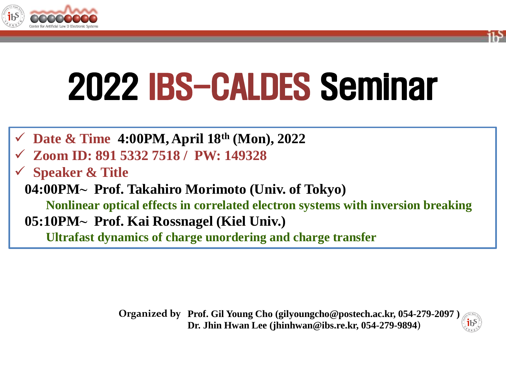



- **Date & Time 4:00PM, April 18th (Mon), 2022**
- **Zoom ID: 891 5332 7518 / PW: 149328**
- **Speaker & Title**

**04:00PM⁓ Prof. Takahiro Morimoto (Univ. of Tokyo) Nonlinear optical effects in correlated electron systems with inversion breaking 05:10PM⁓ Prof. Kai Rossnagel (Kiel Univ.)**

**Ultrafast dynamics of charge unordering and charge transfer**

**Prof. Gil Young Cho (gilyoungcho@postech.ac.kr, 054-279-2097 ) Organized by Dr. Jhin Hwan Lee (jhinhwan@ibs.re.kr, 054-279-9894)**

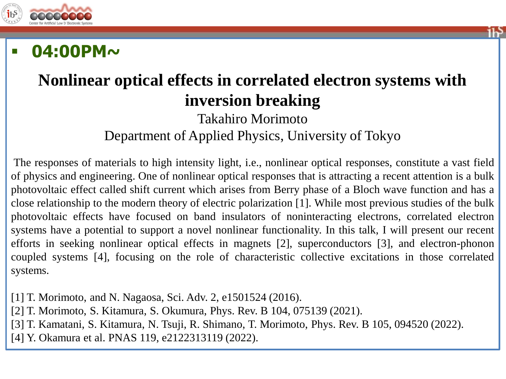



## **Nonlinear optical effects in correlated electron systems with inversion breaking**

Takahiro Morimoto Department of Applied Physics, University of Tokyo

The responses of materials to high intensity light, i.e., nonlinear optical responses, constitute a vast field of physics and engineering. One of nonlinear optical responses that is attracting a recent attention is a bulk photovoltaic effect called shift current which arises from Berry phase of a Bloch wave function and has a close relationship to the modern theory of electric polarization [1]. While most previous studies of the bulk photovoltaic effects have focused on band insulators of noninteracting electrons, correlated electron systems have a potential to support a novel nonlinear functionality. In this talk, I will present our recent efforts in seeking nonlinear optical effects in magnets [2], superconductors [3], and electron-phonon coupled systems [4], focusing on the role of characteristic collective excitations in those correlated systems.

[1] T. Morimoto, and N. Nagaosa, Sci. Adv. 2, e1501524 (2016).

[2] T. Morimoto, S. Kitamura, S. Okumura, Phys. Rev. B 104, 075139 (2021).

[3] T. Kamatani, S. Kitamura, N. Tsuji, R. Shimano, T. Morimoto, Phys. Rev. B 105, 094520 (2022).

[4] Y. Okamura et al. PNAS 119, e2122313119 (2022).